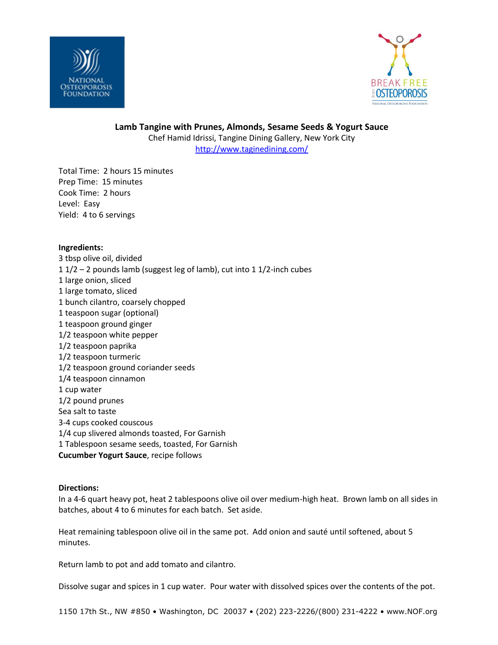



**Lamb Tangine with Prunes, Almonds, Sesame Seeds & Yogurt Sauce** Chef Hamid Idrissi, Tangine Dining Gallery, New York City <http://www.taginedining.com/>

Total Time: 2 hours 15 minutes Prep Time: 15 minutes Cook Time: 2 hours Level: Easy Yield: 4 to 6 servings

#### **Ingredients:**

3 tbsp olive oil, divided 1 1/2 – 2 pounds lamb (suggest leg of lamb), cut into 1 1/2-inch cubes 1 large onion, sliced 1 large tomato, sliced 1 bunch cilantro, coarsely chopped 1 teaspoon sugar (optional) 1 teaspoon ground ginger 1/2 teaspoon white pepper 1/2 teaspoon paprika 1/2 teaspoon turmeric 1/2 teaspoon ground coriander seeds 1/4 teaspoon cinnamon 1 cup water 1/2 pound prunes Sea salt to taste 3-4 cups cooked couscous 1/4 cup slivered almonds toasted, For Garnish 1 Tablespoon sesame seeds, toasted, For Garnish **Cucumber Yogurt Sauce**, recipe follows

### **Directions:**

In a 4-6 quart heavy pot, heat 2 tablespoons olive oil over medium-high heat. Brown lamb on all sides in batches, about 4 to 6 minutes for each batch. Set aside.

Heat remaining tablespoon olive oil in the same pot. Add onion and sauté until softened, about 5 minutes.

Return lamb to pot and add tomato and cilantro.

Dissolve sugar and spices in 1 cup water. Pour water with dissolved spices over the contents of the pot.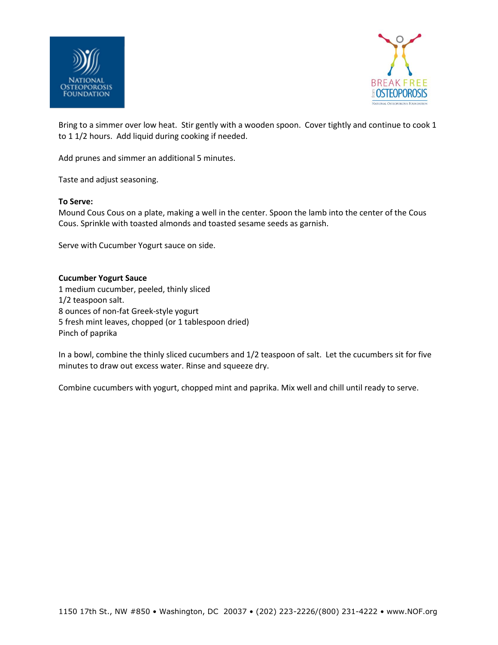



Bring to a simmer over low heat. Stir gently with a wooden spoon. Cover tightly and continue to cook 1 to 1 1/2 hours. Add liquid during cooking if needed.

Add prunes and simmer an additional 5 minutes.

Taste and adjust seasoning.

#### **To Serve:**

Mound Cous Cous on a plate, making a well in the center. Spoon the lamb into the center of the Cous Cous. Sprinkle with toasted almonds and toasted sesame seeds as garnish.

Serve with Cucumber Yogurt sauce on side.

#### **Cucumber Yogurt Sauce**

1 medium cucumber, peeled, thinly sliced 1/2 teaspoon salt. 8 ounces of non-fat Greek-style yogurt 5 fresh mint leaves, chopped (or 1 tablespoon dried) Pinch of paprika

In a bowl, combine the thinly sliced cucumbers and 1/2 teaspoon of salt. Let the cucumbers sit for five minutes to draw out excess water. Rinse and squeeze dry.

Combine cucumbers with yogurt, chopped mint and paprika. Mix well and chill until ready to serve.